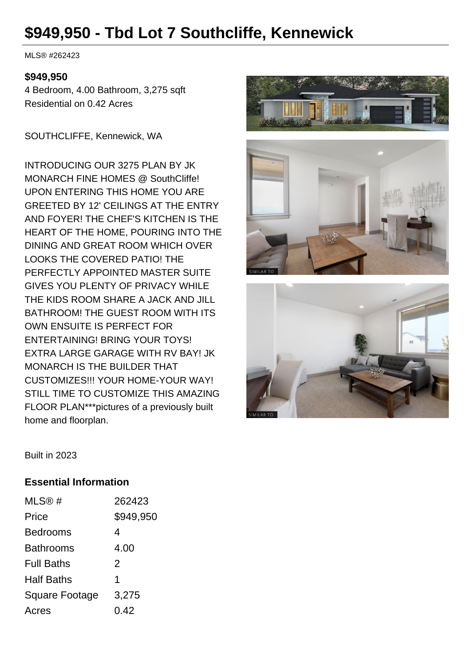# **\$949,950 - Tbd Lot 7 Southcliffe, Kennewick**

MLS® #262423

#### **\$949,950**

4 Bedroom, 4.00 Bathroom, 3,275 sqft Residential on 0.42 Acres

SOUTHCLIFFE, Kennewick, WA

INTRODUCING OUR 3275 PLAN BY JK MONARCH FINE HOMES @ SouthCliffe! UPON ENTERING THIS HOME YOU ARE GREETED BY 12' CEILINGS AT THE ENTRY AND FOYER! THE CHEF'S KITCHEN IS THE HEART OF THE HOME, POURING INTO THE DINING AND GREAT ROOM WHICH OVER LOOKS THE COVERED PATIO! THE PERFECTLY APPOINTED MASTER SUITE GIVES YOU PLENTY OF PRIVACY WHILE THE KIDS ROOM SHARE A JACK AND JILL BATHROOM! THE GUEST ROOM WITH ITS OWN ENSUITE IS PERFECT FOR ENTERTAINING! BRING YOUR TOYS! EXTRA LARGE GARAGE WITH RV BAY! JK MONARCH IS THE BUILDER THAT CUSTOMIZES!!! YOUR HOME-YOUR WAY! STILL TIME TO CUSTOMIZE THIS AMAZING FLOOR PLAN\*\*\*pictures of a previously built home and floorplan.







Built in 2023

#### **Essential Information**

| MLS@#                 | 262423    |
|-----------------------|-----------|
| Price                 | \$949,950 |
| <b>Bedrooms</b>       | 4         |
| <b>Bathrooms</b>      | 4.00      |
| <b>Full Baths</b>     | 2         |
| <b>Half Baths</b>     | 1         |
| <b>Square Footage</b> | 3,275     |
| Acres                 | 0.42      |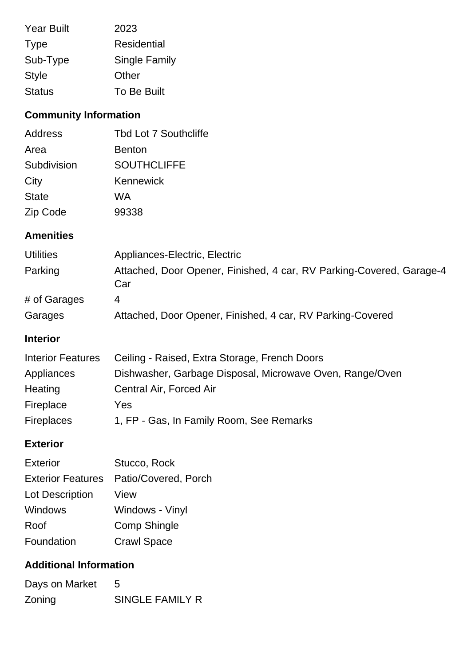| <b>Year Built</b> | 2023          |
|-------------------|---------------|
| <b>Type</b>       | Residential   |
| Sub-Type          | Single Family |
| <b>Style</b>      | Other         |
| <b>Status</b>     | To Be Built   |

## **Community Information**

| Address      | Tbd Lot 7 Southcliffe |
|--------------|-----------------------|
| Area         | <b>Benton</b>         |
| Subdivision  | <b>SOUTHCLIFFE</b>    |
| City         | Kennewick             |
| <b>State</b> | WA                    |
| Zip Code     | 99338                 |

#### **Amenities**

| <b>Utilities</b> | Appliances-Electric, Electric                                               |
|------------------|-----------------------------------------------------------------------------|
| Parking          | Attached, Door Opener, Finished, 4 car, RV Parking-Covered, Garage-4<br>Car |
| # of Garages     | 4                                                                           |
| Garages          | Attached, Door Opener, Finished, 4 car, RV Parking-Covered                  |

### **Interior**

| <b>Interior Features</b> | Ceiling - Raised, Extra Storage, French Doors            |
|--------------------------|----------------------------------------------------------|
| Appliances               | Dishwasher, Garbage Disposal, Microwave Oven, Range/Oven |
| Heating                  | Central Air, Forced Air                                  |
| Fireplace                | Yes                                                      |
| <b>Fireplaces</b>        | 1, FP - Gas, In Family Room, See Remarks                 |

#### **Exterior**

| <b>Exterior</b>          | Stucco, Rock         |
|--------------------------|----------------------|
| <b>Exterior Features</b> | Patio/Covered, Porch |
| Lot Description          | View                 |
| Windows                  | Windows - Vinyl      |
| Roof                     | Comp Shingle         |
| Foundation               | <b>Crawl Space</b>   |

## **Additional Information**

| Days on Market | $\overline{5}$  |
|----------------|-----------------|
| Zoning         | SINGLE FAMILY R |